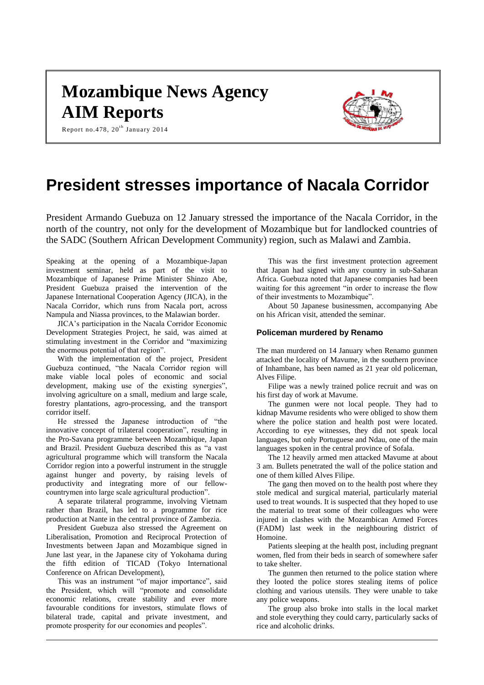# **Mozambique News Agency AIM Reports**



Report no.478, 20 $^{\rm th}$  January 2014

## **President stresses importance of Nacala Corridor**

President Armando Guebuza on 12 January stressed the importance of the Nacala Corridor, in the north of the country, not only for the development of Mozambique but for landlocked countries of the SADC (Southern African Development Community) region, such as Malawi and Zambia.

Speaking at the opening of a Mozambique-Japan investment seminar, held as part of the visit to Mozambique of Japanese Prime Minister Shinzo Abe, President Guebuza praised the intervention of the Japanese International Cooperation Agency (JICA), in the Nacala Corridor, which runs from Nacala port, across Nampula and Niassa provinces, to the Malawian border.

JICA's participation in the Nacala Corridor Economic Development Strategies Project, he said, was aimed at stimulating investment in the Corridor and "maximizing the enormous potential of that region".

With the implementation of the project, President Guebuza continued, "the Nacala Corridor region will make viable local poles of economic and social development, making use of the existing synergies", involving agriculture on a small, medium and large scale, forestry plantations, agro-processing, and the transport corridor itself.

He stressed the Japanese introduction of "the innovative concept of trilateral cooperation", resulting in the Pro-Savana programme between Mozambique, Japan and Brazil. President Guebuza described this as "a vast agricultural programme which will transform the Nacala Corridor region into a powerful instrument in the struggle against hunger and poverty, by raising levels of productivity and integrating more of our fellowcountrymen into large scale agricultural production".

A separate trilateral programme, involving Vietnam rather than Brazil, has led to a programme for rice production at Nante in the central province of Zambezia.

President Guebuza also stressed the Agreement on Liberalisation, Promotion and Reciprocal Protection of Investments between Japan and Mozambique signed in June last year, in the Japanese city of Yokohama during the fifth edition of TICAD (Tokyo International Conference on African Development),

This was an instrument "of major importance", said the President, which will "promote and consolidate economic relations, create stability and ever more favourable conditions for investors, stimulate flows of bilateral trade, capital and private investment, and promote prosperity for our economies and peoples".

This was the first investment protection agreement that Japan had signed with any country in sub-Saharan Africa. Guebuza noted that Japanese companies had been waiting for this agreement "in order to increase the flow of their investments to Mozambique".

About 50 Japanese businessmen, accompanying Abe on his African visit, attended the seminar.

## **Policeman murdered by Renamo**

The man murdered on 14 January when Renamo gunmen attacked the locality of Mavume, in the southern province of Inhambane, has been named as 21 year old policeman, Alves Filipe.

Filipe was a newly trained police recruit and was on his first day of work at Mavume.

The gunmen were not local people. They had to kidnap Mavume residents who were obliged to show them where the police station and health post were located. According to eye witnesses, they did not speak local languages, but only Portuguese and Ndau, one of the main languages spoken in the central province of Sofala.

The 12 heavily armed men attacked Mavume at about 3 am. Bullets penetrated the wall of the police station and one of them killed Alves Filipe.

The gang then moved on to the health post where they stole medical and surgical material, particularly material used to treat wounds. It is suspected that they hoped to use the material to treat some of their colleagues who were injured in clashes with the Mozambican Armed Forces (FADM) last week in the neighbouring district of Homoine.

Patients sleeping at the health post, including pregnant women, fled from their beds in search of somewhere safer to take shelter.

The gunmen then returned to the police station where they looted the police stores stealing items of police clothing and various utensils. They were unable to take any police weapons.

The group also broke into stalls in the local market and stole everything they could carry, particularly sacks of rice and alcoholic drinks.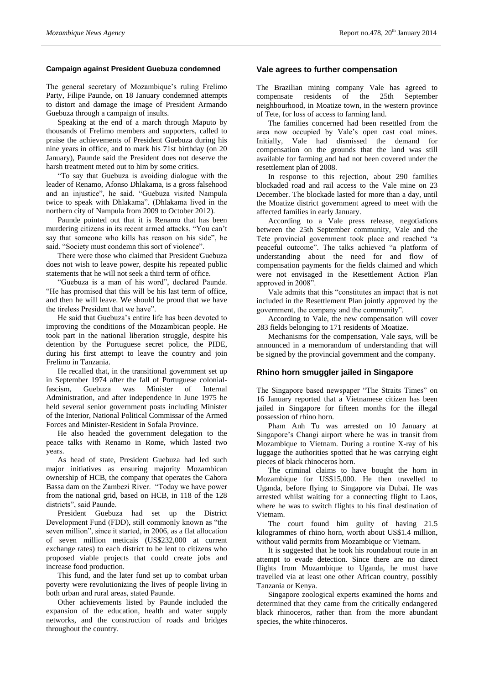#### **Campaign against President Guebuza condemned**

The general secretary of Mozambique's ruling Frelimo Party, Filipe Paunde, on 18 January condemned attempts to distort and damage the image of President Armando Guebuza through a campaign of insults.

Speaking at the end of a march through Maputo by thousands of Frelimo members and supporters, called to praise the achievements of President Guebuza during his nine years in office, and to mark his 71st birthday (on 20 January), Paunde said the President does not deserve the harsh treatment meted out to him by some critics.

"To say that Guebuza is avoiding dialogue with the leader of Renamo, Afonso Dhlakama, is a gross falsehood and an injustice", he said. "Guebuza visited Nampula twice to speak with Dhlakama". (Dhlakama lived in the northern city of Nampula from 2009 to October 2012).

Paunde pointed out that it is Renamo that has been murdering citizens in its recent armed attacks. "You can't say that someone who kills has reason on his side", he said. "Society must condemn this sort of violence".

There were those who claimed that President Guebuza does not wish to leave power, despite his repeated public statements that he will not seek a third term of office.

"Guebuza is a man of his word", declared Paunde. "He has promised that this will be his last term of office, and then he will leave. We should be proud that we have the tireless President that we have".

He said that Guebuza's entire life has been devoted to improving the conditions of the Mozambican people. He took part in the national liberation struggle, despite his detention by the Portuguese secret police, the PIDE, during his first attempt to leave the country and join Frelimo in Tanzania.

He recalled that, in the transitional government set up in September 1974 after the fall of Portuguese colonial-<br>fascism, Guebuza was Minister of Internal fascism, Guebuza was Minister of Internal Administration, and after independence in June 1975 he held several senior government posts including Minister of the Interior, National Political Commissar of the Armed Forces and Minister-Resident in Sofala Province.

He also headed the government delegation to the peace talks with Renamo in Rome, which lasted two years.

As head of state, President Guebuza had led such major initiatives as ensuring majority Mozambican ownership of HCB, the company that operates the Cahora Bassa dam on the Zambezi River. "Today we have power from the national grid, based on HCB, in 118 of the 128 districts", said Paunde.

President Guebuza had set up the District Development Fund (FDD), still commonly known as "the seven million", since it started, in 2006, as a flat allocation of seven million meticais (US\$232,000 at current exchange rates) to each district to be lent to citizens who proposed viable projects that could create jobs and increase food production.

This fund, and the later fund set up to combat urban poverty were revolutionizing the lives of people living in both urban and rural areas, stated Paunde.

Other achievements listed by Paunde included the expansion of the education, health and water supply networks, and the construction of roads and bridges throughout the country.

#### **Vale agrees to further compensation**

The Brazilian mining company Vale has agreed to compensate residents of the 25th September neighbourhood, in Moatize town, in the western province of Tete, for loss of access to farming land.

The families concerned had been resettled from the area now occupied by Vale's open cast coal mines. Initially, Vale had dismissed the demand for compensation on the grounds that the land was still available for farming and had not been covered under the resettlement plan of 2008.

In response to this rejection, about 290 families blockaded road and rail access to the Vale mine on 23 December. The blockade lasted for more than a day, until the Moatize district government agreed to meet with the affected families in early January.

According to a Vale press release, negotiations between the 25th September community, Vale and the Tete provincial government took place and reached "a peaceful outcome". The talks achieved "a platform of understanding about the need for and flow of compensation payments for the fields claimed and which were not envisaged in the Resettlement Action Plan approved in 2008".

Vale admits that this "constitutes an impact that is not included in the Resettlement Plan jointly approved by the government, the company and the community".

According to Vale, the new compensation will cover 283 fields belonging to 171 residents of Moatize.

Mechanisms for the compensation, Vale says, will be announced in a memorandum of understanding that will be signed by the provincial government and the company.

#### **Rhino horn smuggler jailed in Singapore**

The Singapore based newspaper "The Straits Times" on 16 January reported that a Vietnamese citizen has been jailed in Singapore for fifteen months for the illegal possession of rhino horn.

Pham Anh Tu was arrested on 10 January at Singapore's Changi airport where he was in transit from Mozambique to Vietnam. During a routine X-ray of his luggage the authorities spotted that he was carrying eight pieces of black rhinoceros horn.

The criminal claims to have bought the horn in Mozambique for US\$15,000. He then travelled to Uganda, before flying to Singapore via Dubai. He was arrested whilst waiting for a connecting flight to Laos, where he was to switch flights to his final destination of Vietnam.

The court found him guilty of having 21.5 kilogrammes of rhino horn, worth about US\$1.4 million, without valid permits from Mozambique or Vietnam.

It is suggested that he took his roundabout route in an attempt to evade detection. Since there are no direct flights from Mozambique to Uganda, he must have travelled via at least one other African country, possibly Tanzania or Kenya.

Singapore zoological experts examined the horns and determined that they came from the critically endangered black rhinoceros, rather than from the more abundant species, the white rhinoceros.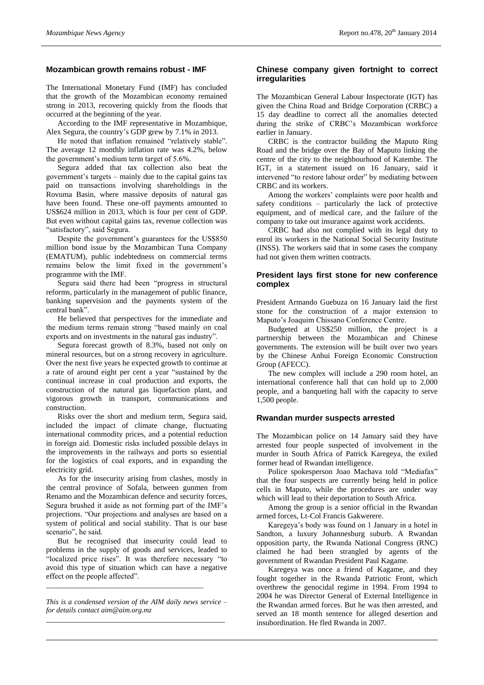#### **Mozambican growth remains robust - IMF**

The International Monetary Fund (IMF) has concluded that the growth of the Mozambican economy remained strong in 2013, recovering quickly from the floods that occurred at the beginning of the year.

According to the IMF representative in Mozambique, Alex Segura, the country's GDP grew by 7.1% in 2013.

He noted that inflation remained "relatively stable". The average 12 monthly inflation rate was 4.2%, below the government's medium term target of 5.6%.

Segura added that tax collection also beat the government's targets – mainly due to the capital gains tax paid on transactions involving shareholdings in the Rovuma Basin, where massive deposits of natural gas have been found. These one-off payments amounted to US\$624 million in 2013, which is four per cent of GDP. But even without capital gains tax, revenue collection was "satisfactory", said Segura.

Despite the government's guarantees for the US\$850 million bond issue by the Mozambican Tuna Company (EMATUM), public indebtedness on commercial terms remains below the limit fixed in the government's programme with the IMF.

Segura said there had been "progress in structural reforms, particularly in the management of public finance, banking supervision and the payments system of the central bank".

He believed that perspectives for the immediate and the medium terms remain strong "based mainly on coal exports and on investments in the natural gas industry".

Segura forecast growth of 8.3%, based not only on mineral resources, but on a strong recovery in agriculture. Over the next five years he expected growth to continue at a rate of around eight per cent a year "sustained by the continual increase in coal production and exports, the construction of the natural gas liquefaction plant, and vigorous growth in transport, communications and construction.

Risks over the short and medium term, Segura said, included the impact of climate change, fluctuating international commodity prices, and a potential reduction in foreign aid. Domestic risks included possible delays in the improvements in the railways and ports so essential for the logistics of coal exports, and in expanding the electricity grid.

As for the insecurity arising from clashes, mostly in the central province of Sofala, between gunmen from Renamo and the Mozambican defence and security forces, Segura brushed it aside as not forming part of the IMF's projections. "Our projections and analyses are based on a system of political and social stability. That is our base scenario", he said.

But he recognised that insecurity could lead to problems in the supply of goods and services, leaded to "localized price rises". It was therefore necessary "to avoid this type of situation which can have a negative effect on the people affected".

*This is a condensed version of the AIM daily news service – for details contac[t aim@aim.org.mz](mailto:aim@aim.org.mz) \_\_\_\_\_\_\_\_\_\_\_\_\_\_\_\_\_\_\_\_\_\_\_\_\_\_\_\_\_\_\_\_\_\_\_\_\_\_\_\_\_\_\_\_*

*\_\_\_\_\_\_\_\_\_\_\_\_\_\_\_\_\_\_\_\_\_\_\_\_\_\_\_\_\_\_\_\_\_\_\_\_\_\_\_\_\_\_\_*

#### **Chinese company given fortnight to correct irregularities**

The Mozambican General Labour Inspectorate (IGT) has given the China Road and Bridge Corporation (CRBC) a 15 day deadline to correct all the anomalies detected during the strike of CRBC's Mozambican workforce earlier in January.

CRBC is the contractor building the Maputo Ring Road and the bridge over the Bay of Maputo linking the centre of the city to the neighbourhood of Katembe. The IGT, in a statement issued on 16 January, said it intervened "to restore labour order" by mediating between CRBC and its workers.

Among the workers' complaints were poor health and safety conditions – particularly the lack of protective equipment, and of medical care, and the failure of the company to take out insurance against work accidents.

CRBC had also not complied with its legal duty to enrol its workers in the National Social Security Institute (INSS). The workers said that in some cases the company had not given them written contracts.

## **President lays first stone for new conference complex**

President Armando Guebuza on 16 January laid the first stone for the construction of a major extension to Maputo's Joaquim Chissano Conference Centre.

Budgeted at US\$250 million, the project is a partnership between the Mozambican and Chinese governments. The extension will be built over two years by the Chinese Anhui Foreign Economic Construction Group (AFECC).

The new complex will include a 290 room hotel, an international conference hall that can hold up to 2,000 people, and a banqueting hall with the capacity to serve 1,500 people.

## **Rwandan murder suspects arrested**

The Mozambican police on 14 January said they have arrested four people suspected of involvement in the murder in South Africa of Patrick Karegeya, the exiled former head of Rwandan intelligence.

Police spokesperson Joao Machava told "Mediafax" that the four suspects are currently being held in police cells in Maputo, while the procedures are under way which will lead to their deportation to South Africa.

Among the group is a senior official in the Rwandan armed forces, Lt-Col Francis Gakwerere.

Karegeya's body was found on 1 January in a hotel in Sandton, a luxury Johannesburg suburb. A Rwandan opposition party, the Rwanda National Congress (RNC) claimed he had been strangled by agents of the government of Rwandan President Paul Kagame.

Karegeya was once a friend of Kagame, and they fought together in the Rwanda Patriotic Front, which overthrew the genocidal regime in 1994. From 1994 to 2004 he was Director General of External Intelligence in the Rwandan armed forces. But he was then arrested, and served an 18 month sentence for alleged desertion and insubordination. He fled Rwanda in 2007.